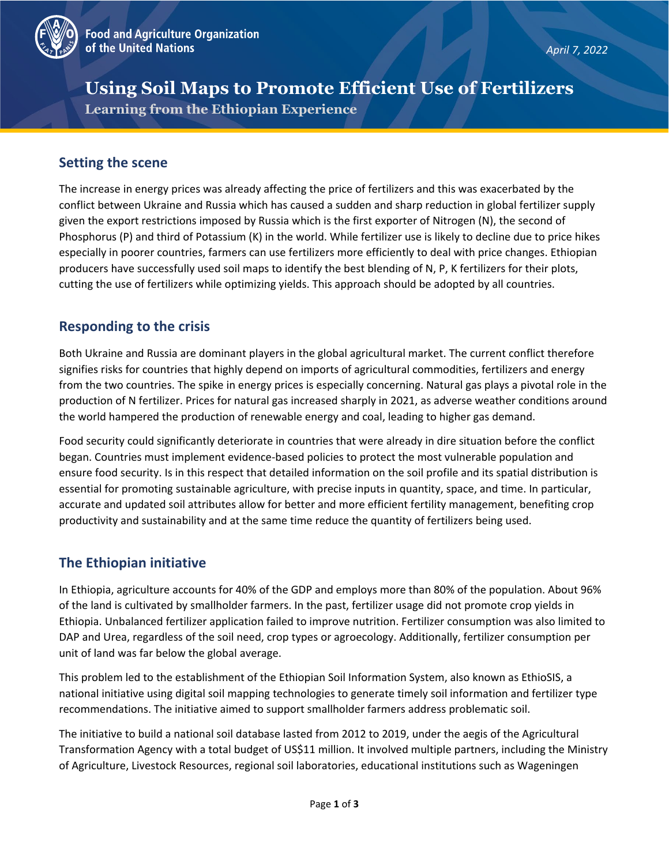

# **Using Soil Maps to Promote Efficient Use of Fertilizers Learning from the Ethiopian Experience**

## **Setting the scene**

The increase in energy prices was already affecting the price of fertilizers and this was exacerbated by the conflict between Ukraine and Russia which has caused a sudden and sharp reduction in global fertilizer supply given the export restrictions imposed by Russia which is the first exporter of Nitrogen (N), the second of Phosphorus (P) and third of Potassium (K) in the world. While fertilizer use is likely to decline due to price hikes especially in poorer countries, farmers can use fertilizers more efficiently to deal with price changes. Ethiopian producers have successfully used soil maps to identify the best blending of N, P, K fertilizers for their plots, cutting the use of fertilizers while optimizing yields. This approach should be adopted by all countries.

## **Responding to the crisis**

Both Ukraine and Russia are dominant players in the global agricultural market. The current conflict therefore signifies risks for countries that highly depend on imports of agricultural commodities, fertilizers and energy from the two countries. The spike in energy prices is especially concerning. Natural gas plays a pivotal role in the production of N fertilizer. Prices for natural gas increased sharply in 2021, as adverse weather conditions around the world hampered the production of renewable energy and coal, leading to higher gas demand.

Food security could significantly deteriorate in countries that were already in dire situation before the conflict began. Countries must implement evidence-based policies to protect the most vulnerable population and ensure food security. Is in this respect that detailed information on the soil profile and its spatial distribution is essential for promoting sustainable agriculture, with precise inputs in quantity, space, and time. In particular, accurate and updated soil attributes allow for better and more efficient fertility management, benefiting crop productivity and sustainability and at the same time reduce the quantity of fertilizers being used.

# **The Ethiopian initiative**

In Ethiopia, agriculture accounts for 40% of the GDP and employs more than 80% of the population. About 96% of the land is cultivated by smallholder farmers. In the past, fertilizer usage did not promote crop yields in Ethiopia. Unbalanced fertilizer application failed to improve nutrition. Fertilizer consumption was also limited to DAP and Urea, regardless of the soil need, crop types or agroecology. Additionally, fertilizer consumption per unit of land was far below the global average.

This problem led to the establishment of the Ethiopian Soil Information System, also known as EthioSIS, a national initiative using digital soil mapping technologies to generate timely soil information and fertilizer type recommendations. The initiative aimed to support smallholder farmers address problematic soil.

The initiative to build a national soil database lasted from 2012 to 2019, under the aegis of the Agricultural Transformation Agency with a total budget of US\$11 million. It involved multiple partners, including the Ministry of Agriculture, Livestock Resources, regional soil laboratories, educational institutions such as Wageningen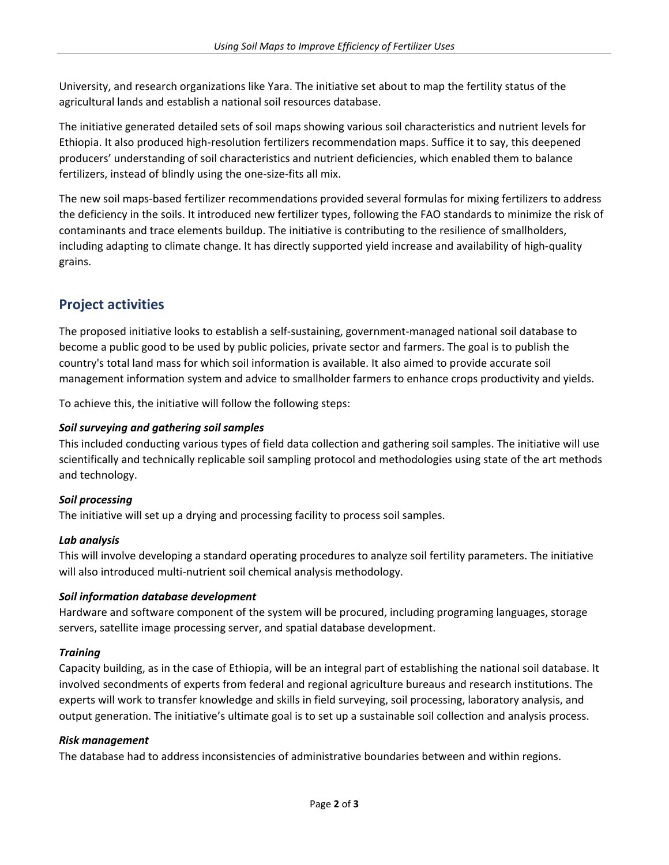University, and research organizations like Yara. The initiative set about to map the fertility status of the agricultural lands and establish a national soil resources database.

The initiative generated detailed sets of soil maps showing various soil characteristics and nutrient levels for Ethiopia. It also produced high-resolution fertilizers recommendation maps. Suffice it to say, this deepened producers' understanding of soil characteristics and nutrient deficiencies, which enabled them to balance fertilizers, instead of blindly using the one-size-fits all mix.

The new soil maps-based fertilizer recommendations provided several formulas for mixing fertilizers to address the deficiency in the soils. It introduced new fertilizer types, following the FAO standards to minimize the risk of contaminants and trace elements buildup. The initiative is contributing to the resilience of smallholders, including adapting to climate change. It has directly supported yield increase and availability of high-quality grains.

# **Project activities**

The proposed initiative looks to establish a self-sustaining, government-managed national soil database to become a public good to be used by public policies, private sector and farmers. The goal is to publish the country's total land mass for which soil information is available. It also aimed to provide accurate soil management information system and advice to smallholder farmers to enhance crops productivity and yields.

To achieve this, the initiative will follow the following steps:

### *Soil surveying and gathering soil samples*

This included conducting various types of field data collection and gathering soil samples. The initiative will use scientifically and technically replicable soil sampling protocol and methodologies using state of the art methods and technology.

### *Soil processing*

The initiative will set up a drying and processing facility to process soil samples.

### *Lab analysis*

This will involve developing a standard operating procedures to analyze soil fertility parameters. The initiative will also introduced multi-nutrient soil chemical analysis methodology.

### *Soil information database development*

Hardware and software component of the system will be procured, including programing languages, storage servers, satellite image processing server, and spatial database development.

#### *Training*

Capacity building, as in the case of Ethiopia, will be an integral part of establishing the national soil database. It involved secondments of experts from federal and regional agriculture bureaus and research institutions. The experts will work to transfer knowledge and skills in field surveying, soil processing, laboratory analysis, and output generation. The initiative's ultimate goal is to set up a sustainable soil collection and analysis process.

#### *Risk management*

The database had to address inconsistencies of administrative boundaries between and within regions.